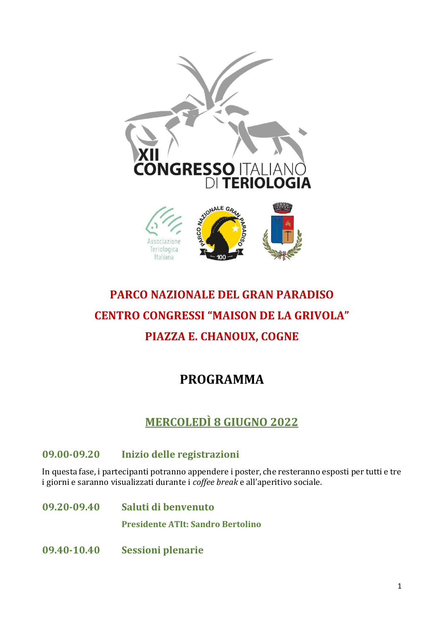

# **PARCO NAZIONALE DEL GRAN PARADISO CENTRO CONGRESSI "MAISON DE LA GRIVOLA" PIAZZA E. CHANOUX, COGNE**

## **PROGRAMMA**

## **MERCOLEDÌ 8 GIUGNO 2022**

### **09.00-09.20 Inizio delle registrazioni**

In questa fase, i partecipanti potranno appendere i poster, che resteranno esposti per tutti e tre i giorni e saranno visualizzati durante i *coffee break* e all'aperitivo sociale.

- **09.20-09.40 Saluti di benvenuto Presidente ATIt: Sandro Bertolino**
- **09.40-10.40 Sessioni plenarie**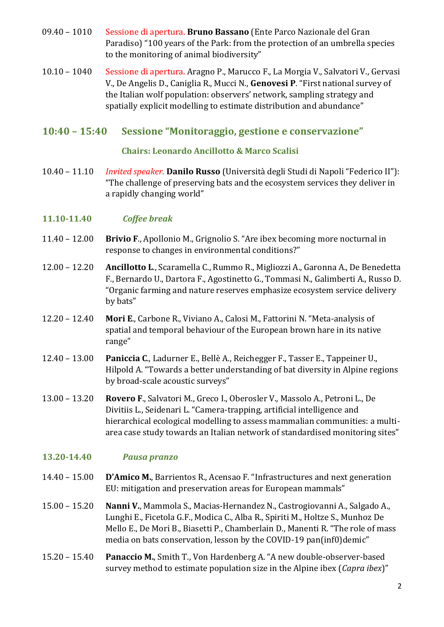- 09.40 1010 Sessione di apertura. **Bruno Bassano** (Ente Parco Nazionale del Gran Paradiso) "100 years of the Park: from the protection of an umbrella species to the monitoring of animal biodiversity"
- 10.10 1040 Sessione di apertura. Aragno P., Marucco F., La Morgia V., Salvatori V., Gervasi V., De Angelis D., Caniglia R., Mucci N., **Genovesi P**. "First national survey of the Italian wolf population: observers' network, sampling strategy and spatially explicit modelling to estimate distribution and abundance"

#### **10:40 – 15:40 Sessione "Monitoraggio, gestione e conservazione"**

#### **Chairs: Leonardo Ancillotto & Marco Scalisi**

10.40 – 11.10 *Invited speaker*. **Danilo Russo** (Università degli Studi di Napoli "Federico II"): "The challenge of preserving bats and the ecosystem services they deliver in a rapidly changing world"

#### **11.10-11.40** *Coffee break*

- 11.40 12.00 **Brivio F**., Apollonio M., Grignolio S. "Are ibex becoming more nocturnal in response to changes in environmental conditions?"
- 12.00 12.20 **Ancillotto L**., Scaramella C., Rummo R., Migliozzi A., Garonna A., De Benedetta F., Bernardo U., Dartora F., Agostinetto G., Tommasi N., Galimberti A., Russo D. "Organic farming and nature reserves emphasize ecosystem service delivery by bats"
- 12.20 12.40 **Mori E**., Carbone R., Viviano A., Calosi M., Fattorini N. "Meta-analysis of spatial and temporal behaviour of the European brown hare in its native range"
- 12.40 13.00 **Paniccia C**., Ladurner E., Bellè A., Reichegger F., Tasser E., Tappeiner U., Hilpold A. "Towards a better understanding of bat diversity in Alpine regions by broad-scale acoustic surveys"
- 13.00 13.20 **Rovero F**., Salvatori M., Greco I., Oberosler V., Massolo A., Petroni L., De Divitiis L., Seidenari L. "Camera-trapping, artificial intelligence and hierarchical ecological modelling to assess mammalian communities: a multiarea case study towards an Italian network of standardised monitoring sites"

#### **13.20-14.40** *Pausa pranzo*

- 14.40 15.00 **D'Amico M.**, Barrientos R., Acensao F. "Infrastructures and next generation EU: mitigation and preservation areas for European mammals"
- 15.00 15.20 **Nanni V.**, Mammola S., Macias-Hernandez N., Castrogiovanni A., Salgado A., Lunghi E., Ficetola G.F., Modica C., Alba R., Spiriti M., Holtze S., Munhoz De Mello E., De Mori B., Biasetti P., Chamberlain D., Manenti R. "The role of mass media on bats conservation, lesson by the COVID-19 pan(inf0)demic"
- 15.20 15.40 **Panaccio M.**, Smith T., Von Hardenberg A. "A new double-observer-based survey method to estimate population size in the Alpine ibex (*Capra ibex*)"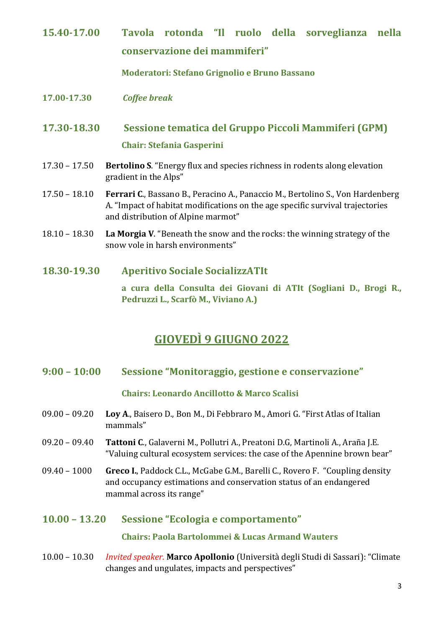**15.40-17.00 Tavola rotonda "Il ruolo della sorveglianza nella conservazione dei mammiferi"**

**Moderatori: Stefano Grignolio e Bruno Bassano**

**17.00-17.30** *Coffee break*

### **17.30-18.30 Sessione tematica del Gruppo Piccoli Mammiferi (GPM) Chair: Stefania Gasperini**

- 17.30 17.50 **Bertolino S**. "Energy flux and species richness in rodents along elevation gradient in the Alps"
- 17.50 18.10 **Ferrari C**., Bassano B., Peracino A., Panaccio M., Bertolino S., Von Hardenberg A. "Impact of habitat modifications on the age specific survival trajectories and distribution of Alpine marmot"
- 18.10 18.30 **La Morgia V**. "Beneath the snow and the rocks: the winning strategy of the snow vole in harsh environments"
- **18.30-19.30 Aperitivo Sociale SocializzATIt**

**a cura della Consulta dei Giovani di ATIt (Sogliani D., Brogi R., Pedruzzi L., Scarfò M., Viviano A.)**

### **GIOVEDÌ 9 GIUGNO 2022**

**9:00 – 10:00 Sessione "Monitoraggio, gestione e conservazione"**

#### **Chairs: Leonardo Ancillotto & Marco Scalisi**

- 09.00 09.20 **Loy A**., Baisero D., Bon M., Di Febbraro M., Amori G. "First Atlas of Italian mammals"
- 09.20 09.40 **Tattoni C**., Galaverni M., Pollutri A., Preatoni D.G, Martinoli A., Araña J.E. "Valuing cultural ecosystem services: the case of the Apennine brown bear"
- 09.40 1000 **Greco I.**, Paddock C.L., McGabe G.M., Barelli C., Rovero F. "Coupling density and occupancy estimations and conservation status of an endangered mammal across its range"

#### **10.00 – 13.20 Sessione "Ecologia e comportamento"**

**Chairs: Paola Bartolommei & Lucas Armand Wauters**

10.00 – 10.30 *Invited speaker*. **Marco Apollonio** (Università degli Studi di Sassari): "Climate changes and ungulates, impacts and perspectives"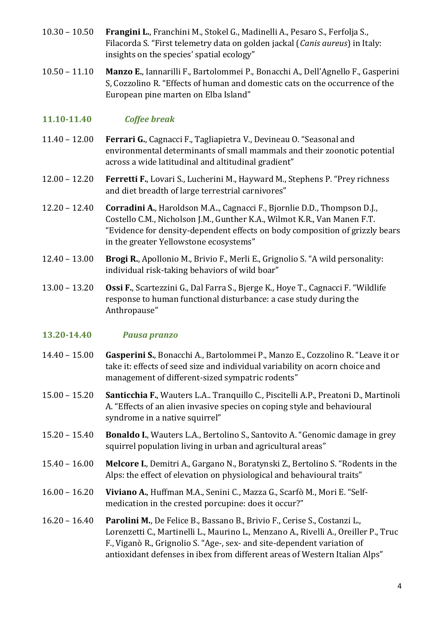- 10.30 10.50 **Frangini L.**, Franchini M., Stokel G., Madinelli A., Pesaro S., Ferfolja S., Filacorda S. "First telemetry data on golden jackal (*Canis aureus*) in Italy: insights on the species' spatial ecology"
- 10.50 11.10 **Manzo E.**, Iannarilli F., Bartolommei P., Bonacchi A., Dell'Agnello F., Gasperini S, Cozzolino R. "Effects of human and domestic cats on the occurrence of the European pine marten on Elba Island"

#### **11.10-11.40** *Coffee break*

- 11.40 12.00 **Ferrari G.**, Cagnacci F., Tagliapietra V., Devineau O. "Seasonal and environmental determinants of small mammals and their zoonotic potential across a wide latitudinal and altitudinal gradient"
- 12.00 12.20 **Ferretti F.**, Lovari S., Lucherini M., Hayward M., Stephens P. "Prey richness and diet breadth of large terrestrial carnivores"
- 12.20 12.40 **Corradini A.**, Haroldson M.A.., Cagnacci F., Bjornlie D.D., Thompson D.J., Costello C.M., Nicholson J.M., Gunther K.A., Wilmot K.R., Van Manen F.T. "Evidence for density-dependent effects on body composition of grizzly bears in the greater Yellowstone ecosystems"
- 12.40 13.00 **Brogi R.**, Apollonio M., Brivio F., Merli E., Grignolio S. "A wild personality: individual risk-taking behaviors of wild boar"
- 13.00 13.20 **Ossi F.**, Scartezzini G., Dal Farra S., Bjerge K., Hoye T., Cagnacci F. "Wildlife response to human functional disturbance: a case study during the Anthropause"

#### **13.20-14.40** *Pausa pranzo*

- 14.40 15.00 **Gasperini S.**, Bonacchi A., Bartolommei P., Manzo E., Cozzolino R. "Leave it or take it: effects of seed size and individual variability on acorn choice and management of different-sized sympatric rodents"
- 15.00 15.20 **Santicchia F.**, Wauters L.A.. Tranquillo C., Piscitelli A.P., Preatoni D., Martinoli A. "Effects of an alien invasive species on coping style and behavioural syndrome in a native squirrel"
- 15.20 15.40 **Bonaldo I.**, Wauters L.A., Bertolino S., Santovito A. "Genomic damage in grey squirrel population living in urban and agricultural areas"
- 15.40 16.00 **Melcore I.**, Demitri A., Gargano N., Boratynski Z., Bertolino S. "Rodents in the Alps: the effect of elevation on physiological and behavioural traits"
- 16.00 16.20 **Viviano A.**, Huffman M.A., Senini C., Mazza G., Scarfò M., Mori E. "Selfmedication in the crested porcupine: does it occur?"
- 16.20 16.40 **Parolini M.**, De Felice B., Bassano B., Brivio F., Cerise S., Costanzi L., Lorenzetti C., Martinelli L., Maurino L., Menzano A., Rivelli A., Oreiller P., Truc F., Viganò R., Grignolio S. "Age-, sex- and site-dependent variation of antioxidant defenses in ibex from different areas of Western Italian Alps"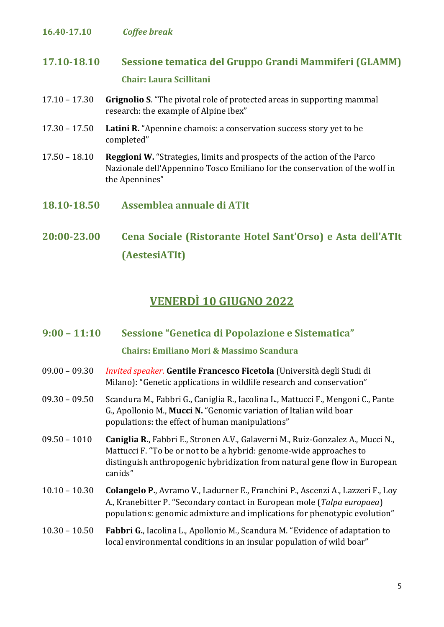#### **16.40-17.10** *Coffee break*

### **17.10-18.10 Sessione tematica del Gruppo Grandi Mammiferi (GLAMM) Chair: Laura Scillitani**

- 17.10 17.30 **Grignolio S**. "The pivotal role of protected areas in supporting mammal research: the example of Alpine ibex"
- 17.30 17.50 **Latini R.** "Apennine chamois: a conservation success story yet to be completed"
- 17.50 18.10 **Reggioni W.** "Strategies, limits and prospects of the action of the Parco Nazionale dell'Appennino Tosco Emiliano for the conservation of the wolf in the Apennines"
- **18.10-18.50 Assemblea annuale di ATIt**
- **20:00-23.00 Cena Sociale (Ristorante Hotel Sant'Orso) e Asta dell'ATIt (AestesiATIt)**

### **VENERDÌ 10 GIUGNO 2022**

- **9:00 – 11:10 Sessione "Genetica di Popolazione e Sistematica" Chairs: Emiliano Mori & Massimo Scandura**
- 09.00 09.30 *Invited speaker*. **Gentile Francesco Ficetola** (Università degli Studi di Milano): "Genetic applications in wildlife research and conservation"
- 09.30 09.50 Scandura M., Fabbri G., Caniglia R., Iacolina L., Mattucci F., Mengoni C., Pante G., Apollonio M., **Mucci N.** "Genomic variation of Italian wild boar populations: the effect of human manipulations"
- 09.50 1010 **Caniglia R.**, Fabbri E., Stronen A.V., Galaverni M., Ruiz-Gonzalez A., Mucci N., Mattucci F. "To be or not to be a hybrid: genome-wide approaches to distinguish anthropogenic hybridization from natural gene flow in European canids"
- 10.10 10.30 **Colangelo P.**, Avramo V., Ladurner E., Franchini P., Ascenzi A., Lazzeri F., Loy A., Kranebitter P. "Secondary contact in European mole (*Talpa europaea*) populations: genomic admixture and implications for phenotypic evolution"

#### 10.30 – 10.50 **Fabbri G.**, Iacolina L., Apollonio M., Scandura M. "Evidence of adaptation to local environmental conditions in an insular population of wild boar"